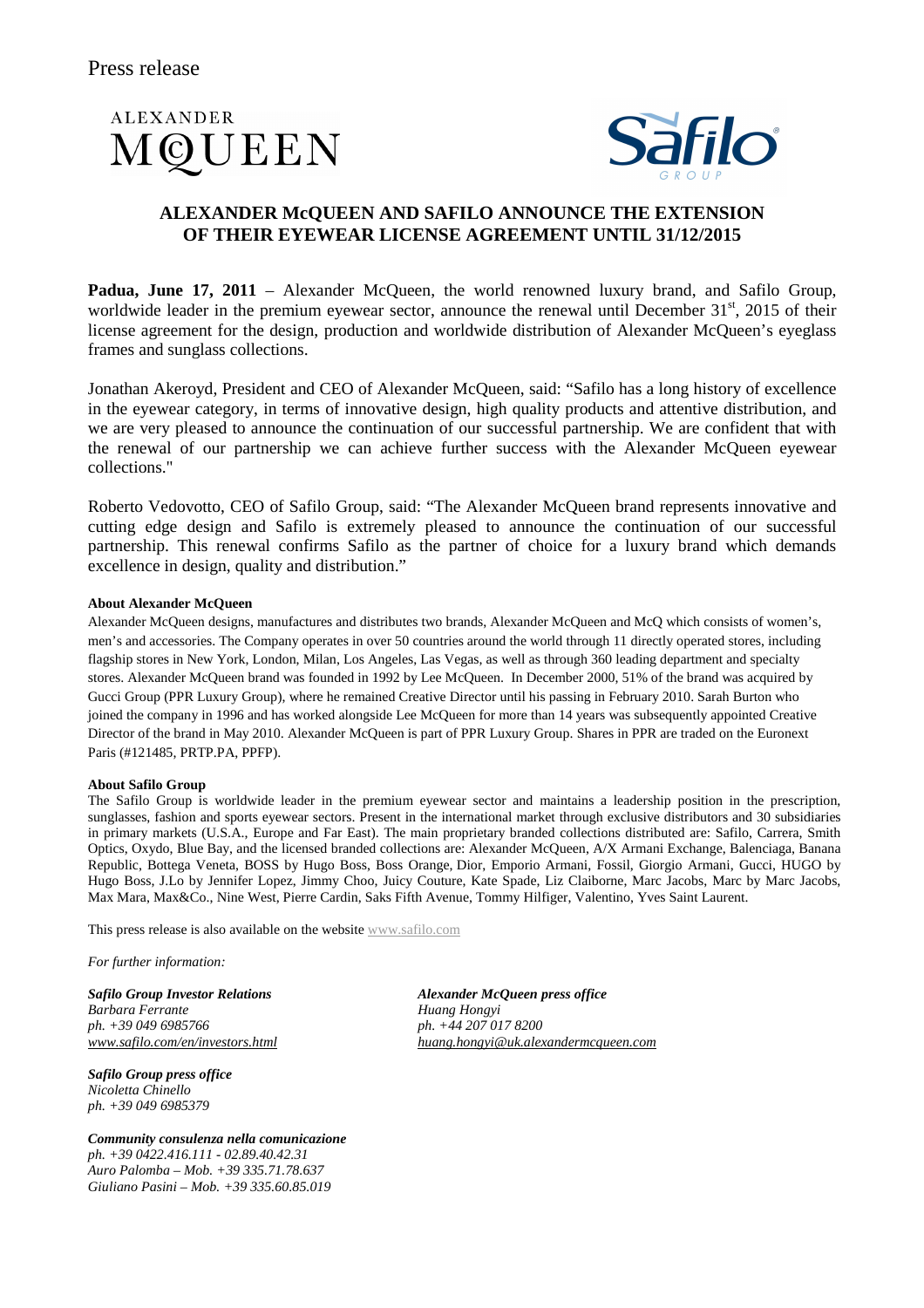## **ALEXANDER** MOUEEN



## **ALEXANDER McQUEEN AND SAFILO ANNOUNCE THE EXTENSION OF THEIR EYEWEAR LICENSE AGREEMENT UNTIL 31/12/2015**

**Padua, June 17, 2011** – Alexander McQueen, the world renowned luxury brand, and Safilo Group, worldwide leader in the premium eyewear sector, announce the renewal until December  $31<sup>st</sup>$ , 2015 of their license agreement for the design, production and worldwide distribution of Alexander McQueen's eyeglass frames and sunglass collections.

Jonathan Akeroyd, President and CEO of Alexander McQueen, said: "Safilo has a long history of excellence in the eyewear category, in terms of innovative design, high quality products and attentive distribution, and we are very pleased to announce the continuation of our successful partnership. We are confident that with the renewal of our partnership we can achieve further success with the Alexander McQueen eyewear collections."

Roberto Vedovotto, CEO of Safilo Group, said: "The Alexander McQueen brand represents innovative and cutting edge design and Safilo is extremely pleased to announce the continuation of our successful partnership. This renewal confirms Safilo as the partner of choice for a luxury brand which demands excellence in design, quality and distribution."

## **About Alexander McQueen**

Alexander McQueen designs, manufactures and distributes two brands, Alexander McQueen and McQ which consists of women's, men's and accessories. The Company operates in over 50 countries around the world through 11 directly operated stores, including flagship stores in New York, London, Milan, Los Angeles, Las Vegas, as well as through 360 leading department and specialty stores. Alexander McQueen brand was founded in 1992 by Lee McQueen. In December 2000, 51% of the brand was acquired by Gucci Group (PPR Luxury Group), where he remained Creative Director until his passing in February 2010. Sarah Burton who joined the company in 1996 and has worked alongside Lee McQueen for more than 14 years was subsequently appointed Creative Director of the brand in May 2010. Alexander McQueen is part of PPR Luxury Group. Shares in PPR are traded on the Euronext Paris (#121485, PRTP.PA, PPFP).

## **About Safilo Group**

The Safilo Group is worldwide leader in the premium eyewear sector and maintains a leadership position in the prescription, sunglasses, fashion and sports eyewear sectors. Present in the international market through exclusive distributors and 30 subsidiaries in primary markets (U.S.A., Europe and Far East). The main proprietary branded collections distributed are: Safilo, Carrera, Smith Optics, Oxydo, Blue Bay, and the licensed branded collections are: Alexander McQueen, A/X Armani Exchange, Balenciaga, Banana Republic, Bottega Veneta, BOSS by Hugo Boss, Boss Orange, Dior, Emporio Armani, Fossil, Giorgio Armani, Gucci, HUGO by Hugo Boss, J.Lo by Jennifer Lopez, Jimmy Choo, Juicy Couture, Kate Spade, Liz Claiborne, Marc Jacobs, Marc by Marc Jacobs, Max Mara, Max&Co., Nine West, Pierre Cardin, Saks Fifth Avenue, Tommy Hilfiger, Valentino, Yves Saint Laurent.

This press release is also available on the website www.safilo.com

*For further information:* 

*Safilo Group Investor Relations Alexander McQueen press office Barbara Ferrante Huang Hongyi* 

*Safilo Group press office Nicoletta Chinello ph. +39 049 6985379* 

*Community consulenza nella comunicazione ph. +39 0422.416.111 - 02.89.40.42.31 Auro Palomba – Mob. +39 335.71.78.637 Giuliano Pasini – Mob. +39 335.60.85.019* 

*ph. +39 049 6985766 ph. +44 207 017 8200 www.safilo.com/en/investors.html huang.hongyi@uk.alexandermcqueen.com*